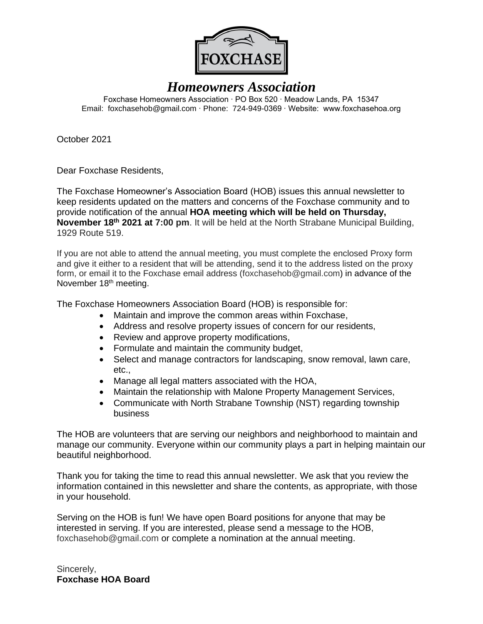

# *Homeowners Association*

Foxchase Homeowners Association ∙ PO Box 520 ∙ Meadow Lands, PA 15347 Email: foxchasehob@gmail.com ∙ Phone: 724-949-0369 ∙ Website: www.foxchasehoa.org

October 2021

Dear Foxchase Residents,

The Foxchase Homeowner's Association Board (HOB) issues this annual newsletter to keep residents updated on the matters and concerns of the Foxchase community and to provide notification of the annual **HOA meeting which will be held on Thursday, November 18th 2021 at 7:00 pm**. It will be held at the North Strabane Municipal Building, 1929 Route 519.

If you are not able to attend the annual meeting, you must complete the enclosed Proxy form and give it either to a resident that will be attending, send it to the address listed on the proxy form, or email it to the Foxchase email address [\(foxchasehob@gmail.com\)](mailto:foxchasehob@gmail.com) in advance of the November 18<sup>th</sup> meeting.

The Foxchase Homeowners Association Board (HOB) is responsible for:

- Maintain and improve the common areas within Foxchase,
- Address and resolve property issues of concern for our residents,
- Review and approve property modifications,
- Formulate and maintain the community budget,
- Select and manage contractors for landscaping, snow removal, lawn care, etc.,
- Manage all legal matters associated with the HOA,
- Maintain the relationship with Malone Property Management Services,
- Communicate with North Strabane Township (NST) regarding township business

The HOB are volunteers that are serving our neighbors and neighborhood to maintain and manage our community. Everyone within our community plays a part in helping maintain our beautiful neighborhood.

Thank you for taking the time to read this annual newsletter. We ask that you review the information contained in this newsletter and share the contents, as appropriate, with those in your household.

Serving on the HOB is fun! We have open Board positions for anyone that may be interested in serving. If you are interested, please send a message to the HOB, [foxchasehob@gmail.com](mailto:foxchasehob@gmail.com) or complete a nomination at the annual meeting.

Sincerely, **Foxchase HOA Board**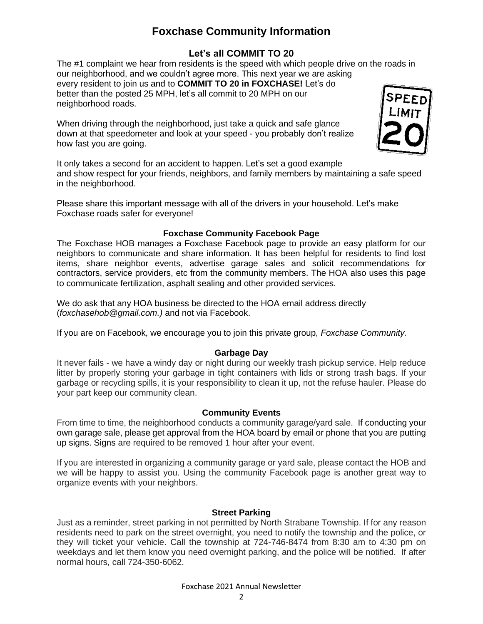# **Foxchase Community Information**

## **Let's all COMMIT TO 20**

The #1 complaint we hear from residents is the speed with which people drive on the roads in our neighborhood, and we couldn't agree more. This next year we are asking every resident to join us and to **COMMIT TO 20 in FOXCHASE!** Let's do better than the posted 25 MPH, let's all commit to 20 MPH on our neighborhood roads.

When driving through the neighborhood, just take a quick and safe glance down at that speedometer and look at your speed - you probably don't realize how fast you are going.



It only takes a second for an accident to happen. Let's set a good example and show respect for your friends, neighbors, and family members by maintaining a safe speed in the neighborhood.

Please share this important message with all of the drivers in your household. Let's make Foxchase roads safer for everyone!

## **Foxchase Community Facebook Page**

The Foxchase HOB manages a Foxchase Facebook page to provide an easy platform for our neighbors to communicate and share information. It has been helpful for residents to find lost items, share neighbor events, advertise garage sales and solicit recommendations for contractors, service providers, etc from the community members. The HOA also uses this page to communicate fertilization, asphalt sealing and other provided services.

We do ask that any HOA business be directed to the HOA email address directly (*[foxchasehob@gmail.com.](mailto:foxchasehob@gmail.com))* and not via Facebook.

If you are on Facebook, we encourage you to join this private group, *Foxchase Community.*

## **Garbage Day**

It never fails - we have a windy day or night during our weekly trash pickup service. Help reduce litter by properly storing your garbage in tight containers with lids or strong trash bags. If your garbage or recycling spills, it is your responsibility to clean it up, not the refuse hauler. Please do your part keep our community clean.

## **Community Events**

From time to time, the neighborhood conducts a community garage/yard sale. If conducting your own garage sale, please get approval from the HOA board by email or phone that you are putting up signs. Signs are required to be removed 1 hour after your event.

If you are interested in organizing a community garage or yard sale, please contact the HOB and we will be happy to assist you. Using the community Facebook page is another great way to organize events with your neighbors.

## **Street Parking**

Just as a reminder, street parking in not permitted by North Strabane Township. If for any reason residents need to park on the street overnight, you need to notify the township and the police, or they will ticket your vehicle. Call the township at 724-746-8474 from 8:30 am to 4:30 pm on weekdays and let them know you need overnight parking, and the police will be notified. If after normal hours, call 724-350-6062.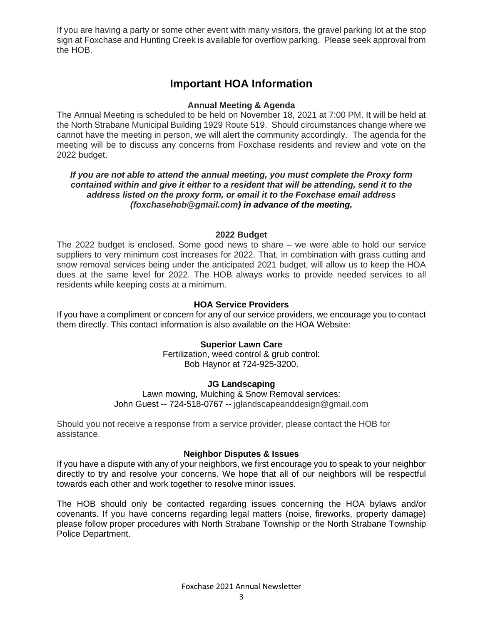If you are having a party or some other event with many visitors, the gravel parking lot at the stop sign at Foxchase and Hunting Creek is available for overflow parking. Please seek approval from the HOB.

## **Important HOA Information**

## **Annual Meeting & Agenda**

The Annual Meeting is scheduled to be held on November 18, 2021 at 7:00 PM. It will be held at the North Strabane Municipal Building 1929 Route 519. Should circumstances change where we cannot have the meeting in person, we will alert the community accordingly. The agenda for the meeting will be to discuss any concerns from Foxchase residents and review and vote on the 2022 budget.

### *If you are not able to attend the annual meeting, you must complete the Proxy form contained within and give it either to a resident that will be attending, send it to the address listed on the proxy form, or email it to the Foxchase email address [\(foxchasehob@gmail.com\)](mailto:foxchasehob@gmail.com) in advance of the meeting.*

#### **2022 Budget**

The 2022 budget is enclosed. Some good news to share – we were able to hold our service suppliers to very minimum cost increases for 2022. That, in combination with grass cutting and snow removal services being under the anticipated 2021 budget, will allow us to keep the HOA dues at the same level for 2022. The HOB always works to provide needed services to all residents while keeping costs at a minimum.

## **HOA Service Providers**

If you have a compliment or concern for any of our service providers, we encourage you to contact them directly. This contact information is also available on the HOA Website:

## **Superior Lawn Care**

Fertilization, weed control & grub control: Bob Haynor at 724-925-3200.

#### **JG Landscaping**

Lawn mowing, Mulching & Snow Removal services: John Guest -- 724-518-0767 -- [jglandscapeanddesign@gmail.com](mailto:jglandscapeanddesign@gmail.com)

Should you not receive a response from a service provider, please contact the HOB for assistance.

#### **Neighbor Disputes & Issues**

If you have a dispute with any of your neighbors, we first encourage you to speak to your neighbor directly to try and resolve your concerns. We hope that all of our neighbors will be respectful towards each other and work together to resolve minor issues.

The HOB should only be contacted regarding issues concerning the HOA bylaws and/or covenants. If you have concerns regarding legal matters (noise, fireworks, property damage) please follow proper procedures with North Strabane Township or the North Strabane Township Police Department.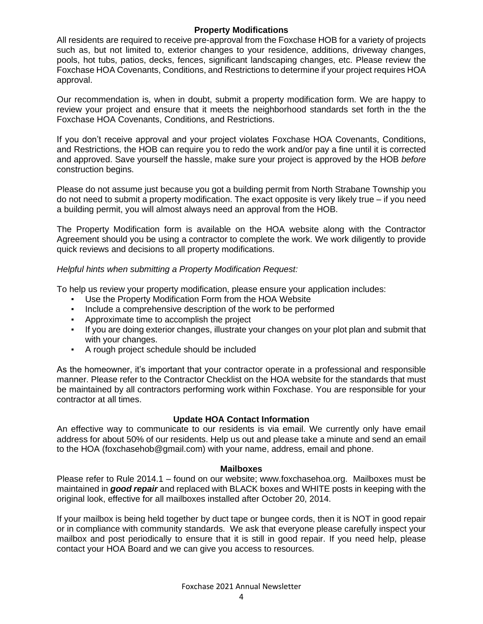#### **Property Modifications**

All residents are required to receive pre-approval from the Foxchase HOB for a variety of projects such as, but not limited to, exterior changes to your residence, additions, driveway changes, pools, hot tubs, patios, decks, fences, significant landscaping changes, etc. Please review the Foxchase HOA Covenants, Conditions, and Restrictions to determine if your project requires HOA approval.

Our recommendation is, when in doubt, submit a property modification form. We are happy to review your project and ensure that it meets the neighborhood standards set forth in the the Foxchase HOA Covenants, Conditions, and Restrictions.

If you don't receive approval and your project violates Foxchase HOA Covenants, Conditions, and Restrictions, the HOB can require you to redo the work and/or pay a fine until it is corrected and approved. Save yourself the hassle, make sure your project is approved by the HOB *before* construction begins.

Please do not assume just because you got a building permit from North Strabane Township you do not need to submit a property modification. The exact opposite is very likely true – if you need a building permit, you will almost always need an approval from the HOB.

The Property Modification form is available on the HOA website along with the Contractor Agreement should you be using a contractor to complete the work. We work diligently to provide quick reviews and decisions to all property modifications.

## *Helpful hints when submitting a Property Modification Request:*

To help us review your property modification, please ensure your application includes:

- Use the Property Modification Form from the HOA Website
- Include a comprehensive description of the work to be performed
- Approximate time to accomplish the project
- If you are doing exterior changes, illustrate your changes on your plot plan and submit that with your changes.
- A rough project schedule should be included

As the homeowner, it's important that your contractor operate in a professional and responsible manner. Please refer to the Contractor Checklist on the HOA website for the standards that must be maintained by all contractors performing work within Foxchase. You are responsible for your contractor at all times.

#### **Update HOA Contact Information**

An effective way to communicate to our residents is via email. We currently only have email address for about 50% of our residents. Help us out and please take a minute and send an email to the HOA (foxchasehob@gmail.com) with your name, address, email and phone.

#### **Mailboxes**

Please refer to Rule 2014.1 – found on our website; [www.foxchasehoa.org.](http://www.foxchasehoa.org/) Mailboxes must be maintained in *good repair* and replaced with BLACK boxes and WHITE posts in keeping with the original look, effective for all mailboxes installed after October 20, 2014.

If your mailbox is being held together by duct tape or bungee cords, then it is NOT in good repair or in compliance with community standards. We ask that everyone please carefully inspect your mailbox and post periodically to ensure that it is still in good repair. If you need help, please contact your HOA Board and we can give you access to resources.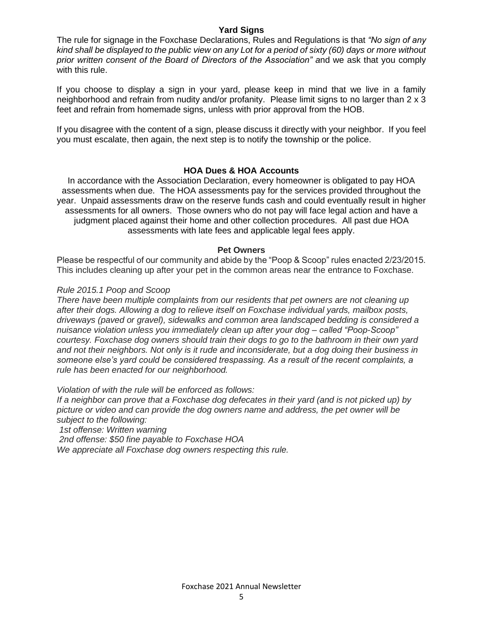#### **Yard Signs**

The rule for signage in the Foxchase Declarations, Rules and Regulations is that *"No sign of any kind shall be displayed to the public view on any Lot for a period of sixty (60) days or more without prior written consent of the Board of Directors of the Association" a*nd we ask that you comply with this rule.

If you choose to display a sign in your yard, please keep in mind that we live in a family neighborhood and refrain from nudity and/or profanity. Please limit signs to no larger than 2 x 3 feet and refrain from homemade signs, unless with prior approval from the HOB.

If you disagree with the content of a sign, please discuss it directly with your neighbor. If you feel you must escalate, then again, the next step is to notify the township or the police.

#### **HOA Dues & HOA Accounts**

In accordance with the Association Declaration, every homeowner is obligated to pay HOA assessments when due. The HOA assessments pay for the services provided throughout the year. Unpaid assessments draw on the reserve funds cash and could eventually result in higher assessments for all owners. Those owners who do not pay will face legal action and have a judgment placed against their home and other collection procedures. All past due HOA assessments with late fees and applicable legal fees apply.

#### **Pet Owners**

Please be respectful of our community and abide by the "Poop & Scoop" rules enacted 2/23/2015. This includes cleaning up after your pet in the common areas near the entrance to Foxchase.

#### *Rule 2015.1 Poop and Scoop*

*There have been multiple complaints from our residents that pet owners are not cleaning up after their dogs. Allowing a dog to relieve itself on Foxchase individual yards, mailbox posts, driveways (paved or gravel), sidewalks and common area landscaped bedding is considered a nuisance violation unless you immediately clean up after your dog – called "Poop-Scoop" courtesy. Foxchase dog owners should train their dogs to go to the bathroom in their own yard and not their neighbors. Not only is it rude and inconsiderate, but a dog doing their business in someone else's yard could be considered trespassing. As a result of the recent complaints, a rule has been enacted for our neighborhood.*

*Violation of with the rule will be enforced as follows:*

*If a neighbor can prove that a Foxchase dog defecates in their yard (and is not picked up) by picture or video and can provide the dog owners name and address, the pet owner will be subject to the following:*

*1st offense: Written warning*

*2nd offense: \$50 fine payable to Foxchase HOA*

*We appreciate all Foxchase dog owners respecting this rule.*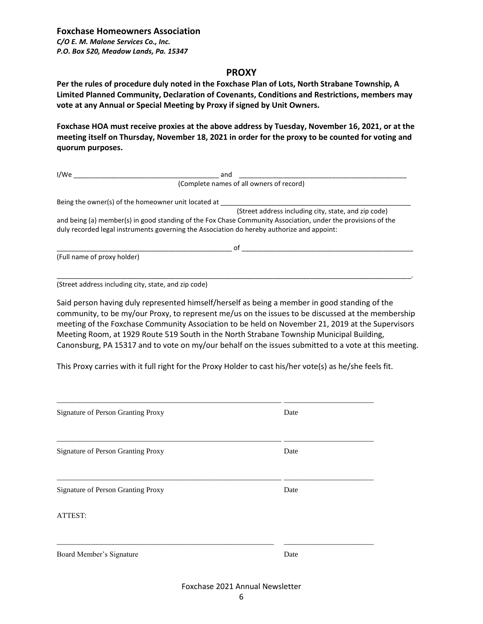#### **PROXY**

**Per the rules of procedure duly noted in the Foxchase Plan of Lots, North Strabane Township, A Limited Planned Community, Declaration of Covenants, Conditions and Restrictions, members may vote at any Annual or Special Meeting by Proxy if signed by Unit Owners.**

**Foxchase HOA must receive proxies at the above address by Tuesday, November 16, 2021, or at the meeting itself on Thursday, November 18, 2021 in order for the proxy to be counted for voting and quorum purposes.**

| I/We                                                | and                                                                                                                                                                                                        |  |
|-----------------------------------------------------|------------------------------------------------------------------------------------------------------------------------------------------------------------------------------------------------------------|--|
|                                                     | (Complete names of all owners of record)                                                                                                                                                                   |  |
| Being the owner(s) of the homeowner unit located at |                                                                                                                                                                                                            |  |
|                                                     | (Street address including city, state, and zip code)                                                                                                                                                       |  |
|                                                     | and being (a) member(s) in good standing of the Fox Chase Community Association, under the provisions of the<br>duly recorded legal instruments governing the Association do hereby authorize and appoint: |  |
|                                                     | of                                                                                                                                                                                                         |  |
| (Full name of proxy holder)                         |                                                                                                                                                                                                            |  |
|                                                     |                                                                                                                                                                                                            |  |

(Street address including city, state, and zip code)

Said person having duly represented himself/herself as being a member in good standing of the community, to be my/our Proxy, to represent me/us on the issues to be discussed at the membership meeting of the Foxchase Community Association to be held on November 21, 2019 at the Supervisors Meeting Room, at 1929 Route 519 South in the North Strabane Township Municipal Building, Canonsburg, PA 15317 and to vote on my/our behalf on the issues submitted to a vote at this meeting.

This Proxy carries with it full right for the Proxy Holder to cast his/her vote(s) as he/she feels fit.

| <b>Signature of Person Granting Proxy</b> | Date |  |  |  |
|-------------------------------------------|------|--|--|--|
| Signature of Person Granting Proxy        | Date |  |  |  |
| Signature of Person Granting Proxy        | Date |  |  |  |
| ATTEST:                                   |      |  |  |  |
| Board Member's Signature                  | Date |  |  |  |